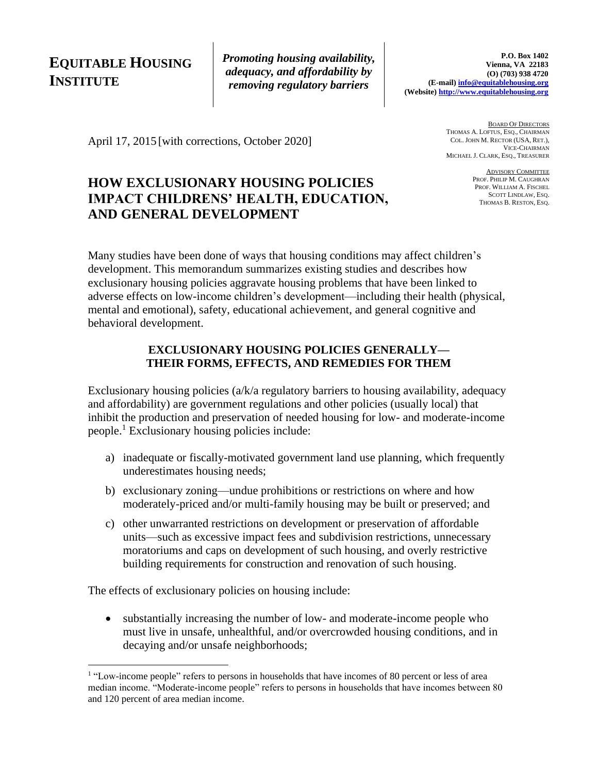# **EQUITABLE HOUSING INSTITUTE**

*Promoting housing availability, adequacy, and affordability by removing regulatory barriers*

April 17, 2015 [with corrections, October 2020]

## **HOW EXCLUSIONARY HOUSING POLICIES IMPACT CHILDRENS' HEALTH, EDUCATION, AND GENERAL DEVELOPMENT**

BOARD OF DIRECTORS THOMAS A. LOFTUS, ESQ., CHAIRMAN COL. JOHN M. RECTOR (USA, RET.), VICE-CHAIRMAN MICHAEL J. CLARK, ESQ., TREASURER

> ADVISORY COMMITTEE PROF. PHILIP M. CAUGHRAN PROF. WILLIAM A. FISCHEL SCOTT LINDLAW, ESQ. THOMAS B. RESTON, ESQ.

Many studies have been done of ways that housing conditions may affect children's development. This memorandum summarizes existing studies and describes how exclusionary housing policies aggravate housing problems that have been linked to adverse effects on low-income children's development—including their health (physical, mental and emotional), safety, educational achievement, and general cognitive and behavioral development.

## **EXCLUSIONARY HOUSING POLICIES GENERALLY— THEIR FORMS, EFFECTS, AND REMEDIES FOR THEM**

Exclusionary housing policies (a/k/a regulatory barriers to housing availability, adequacy and affordability) are government regulations and other policies (usually local) that inhibit the production and preservation of needed housing for low- and moderate-income people.<sup>1</sup> Exclusionary housing policies include:

- a) inadequate or fiscally-motivated government land use planning, which frequently underestimates housing needs;
- b) exclusionary zoning—undue prohibitions or restrictions on where and how moderately-priced and/or multi-family housing may be built or preserved; and
- c) other unwarranted restrictions on development or preservation of affordable units—such as excessive impact fees and subdivision restrictions, unnecessary moratoriums and caps on development of such housing, and overly restrictive building requirements for construction and renovation of such housing.

The effects of exclusionary policies on housing include:

• substantially increasing the number of low- and moderate-income people who must live in unsafe, unhealthful, and/or overcrowded housing conditions, and in decaying and/or unsafe neighborhoods;

<sup>&</sup>lt;sup>1</sup> "Low-income people" refers to persons in households that have incomes of 80 percent or less of area median income. "Moderate-income people" refers to persons in households that have incomes between 80 and 120 percent of area median income.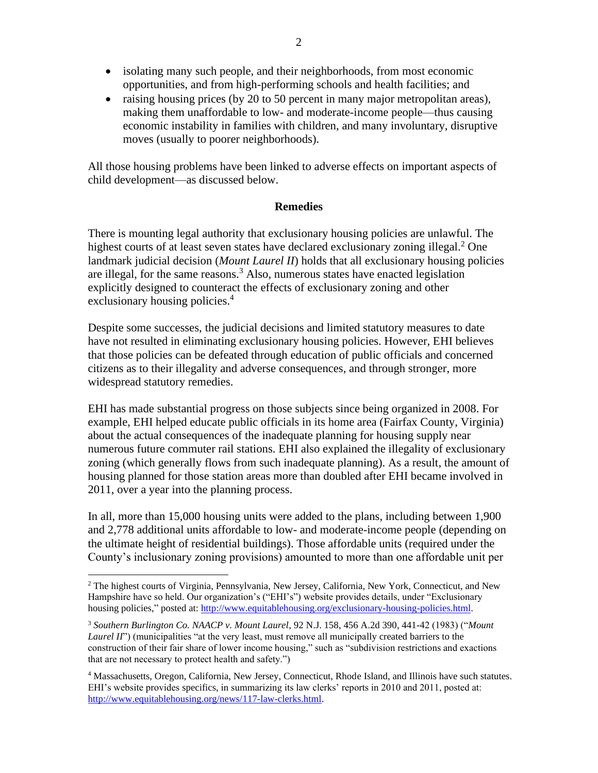- isolating many such people, and their neighborhoods, from most economic opportunities, and from high-performing schools and health facilities; and
- raising housing prices (by 20 to 50 percent in many major metropolitan areas), making them unaffordable to low- and moderate-income people—thus causing economic instability in families with children, and many involuntary, disruptive moves (usually to poorer neighborhoods).

All those housing problems have been linked to adverse effects on important aspects of child development—as discussed below.

#### **Remedies**

There is mounting legal authority that exclusionary housing policies are unlawful. The highest courts of at least seven states have declared exclusionary zoning illegal.<sup>2</sup> One landmark judicial decision (*Mount Laurel II*) holds that all exclusionary housing policies are illegal, for the same reasons.<sup>3</sup> Also, numerous states have enacted legislation explicitly designed to counteract the effects of exclusionary zoning and other exclusionary housing policies. 4

Despite some successes, the judicial decisions and limited statutory measures to date have not resulted in eliminating exclusionary housing policies. However, EHI believes that those policies can be defeated through education of public officials and concerned citizens as to their illegality and adverse consequences, and through stronger, more widespread statutory remedies.

EHI has made substantial progress on those subjects since being organized in 2008. For example, EHI helped educate public officials in its home area (Fairfax County, Virginia) about the actual consequences of the inadequate planning for housing supply near numerous future commuter rail stations. EHI also explained the illegality of exclusionary zoning (which generally flows from such inadequate planning). As a result, the amount of housing planned for those station areas more than doubled after EHI became involved in 2011, over a year into the planning process.

In all, more than 15,000 housing units were added to the plans, including between 1,900 and 2,778 additional units affordable to low- and moderate-income people (depending on the ultimate height of residential buildings). Those affordable units (required under the County's inclusionary zoning provisions) amounted to more than one affordable unit per

<sup>2</sup> The highest courts of Virginia, Pennsylvania, New Jersey, California, New York, Connecticut, and New Hampshire have so held. Our organization's ("EHI's") website provides details, under "Exclusionary housing policies," posted at: [http://www.equitablehousing.org/exclusionary-housing-policies.html.](http://www.equitablehousing.org/exclusionary-housing-policies.html)

<sup>3</sup> *Southern Burlington Co. NAACP v. Mount Laurel*, 92 N.J. 158, 456 A.2d 390, 441-42 (1983) ("*Mount Laurel II*") (municipalities "at the very least, must remove all municipally created barriers to the construction of their fair share of lower income housing," such as "subdivision restrictions and exactions that are not necessary to protect health and safety.")

<sup>4</sup> Massachusetts, Oregon, California, New Jersey, Connecticut, Rhode Island, and Illinois have such statutes. EHI's website provides specifics, in summarizing its law clerks' reports in 2010 and 2011, posted at: [http://www.equitablehousing.org/news/117-law-clerks.html.](http://www.equitablehousing.org/news/117-law-clerks.html)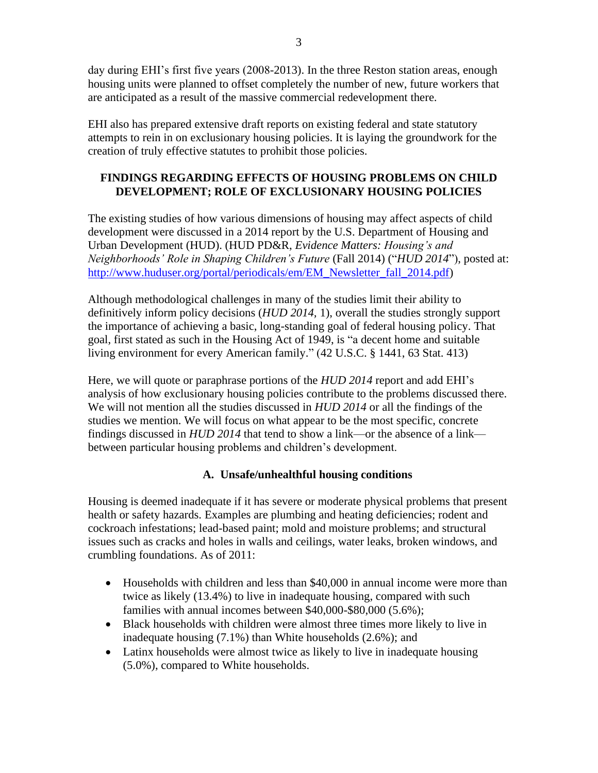day during EHI's first five years (2008-2013). In the three Reston station areas, enough housing units were planned to offset completely the number of new, future workers that are anticipated as a result of the massive commercial redevelopment there.

EHI also has prepared extensive draft reports on existing federal and state statutory attempts to rein in on exclusionary housing policies. It is laying the groundwork for the creation of truly effective statutes to prohibit those policies.

## **FINDINGS REGARDING EFFECTS OF HOUSING PROBLEMS ON CHILD DEVELOPMENT; ROLE OF EXCLUSIONARY HOUSING POLICIES**

The existing studies of how various dimensions of housing may affect aspects of child development were discussed in a 2014 report by the U.S. Department of Housing and Urban Development (HUD). (HUD PD&R, *Evidence Matters: Housing's and Neighborhoods' Role in Shaping Children's Future* (Fall 2014) ("*HUD 2014*"), posted at: [http://www.huduser.org/portal/periodicals/em/EM\\_Newsletter\\_fall\\_2014.pdf\)](http://www.huduser.org/portal/periodicals/em/EM_Newsletter_fall_2014.pdf)

Although methodological challenges in many of the studies limit their ability to definitively inform policy decisions (*HUD 2014,* 1), overall the studies strongly support the importance of achieving a basic, long-standing goal of federal housing policy. That goal, first stated as such in the Housing Act of 1949, is "a decent home and suitable living environment for every American family." (42 U.S.C. § 1441, 63 Stat. 413)

Here, we will quote or paraphrase portions of the *HUD 2014* report and add EHI's analysis of how exclusionary housing policies contribute to the problems discussed there. We will not mention all the studies discussed in *HUD 2014* or all the findings of the studies we mention. We will focus on what appear to be the most specific, concrete findings discussed in *HUD 2014* that tend to show a link—or the absence of a link between particular housing problems and children's development.

## **A. Unsafe/unhealthful housing conditions**

Housing is deemed inadequate if it has severe or moderate physical problems that present health or safety hazards. Examples are plumbing and heating deficiencies; rodent and cockroach infestations; lead-based paint; mold and moisture problems; and structural issues such as cracks and holes in walls and ceilings, water leaks, broken windows, and crumbling foundations. As of 2011:

- Households with children and less than \$40,000 in annual income were more than twice as likely (13.4%) to live in inadequate housing, compared with such families with annual incomes between \$40,000-\$80,000 (5.6%);
- Black households with children were almost three times more likely to live in inadequate housing (7.1%) than White households (2.6%); and
- Latinx households were almost twice as likely to live in inadequate housing (5.0%), compared to White households.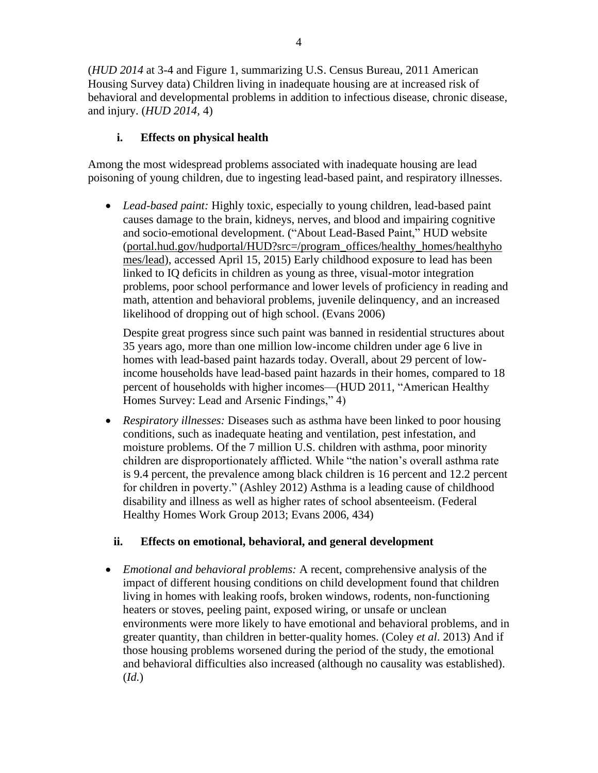4

(*HUD 2014* at 3-4 and Figure 1, summarizing U.S. Census Bureau, 2011 American Housing Survey data) Children living in inadequate housing are at increased risk of behavioral and developmental problems in addition to infectious disease, chronic disease, and injury. (*HUD 2014,* 4)

## **i. Effects on physical health**

Among the most widespread problems associated with inadequate housing are lead poisoning of young children, due to ingesting lead-based paint, and respiratory illnesses.

• *Lead-based paint:* Highly toxic, especially to young children, lead-based paint causes damage to the brain, kidneys, nerves, and blood and impairing cognitive and socio-emotional development. ("About Lead-Based Paint," HUD website (portal.hud.gov/hudportal/HUD?src=/program\_offices/healthy\_homes/healthyho mes/lead), accessed April 15, 2015) Early childhood exposure to lead has been linked to IQ deficits in children as young as three, visual-motor integration problems, poor school performance and lower levels of proficiency in reading and math, attention and behavioral problems, juvenile delinquency, and an increased likelihood of dropping out of high school. (Evans 2006)

Despite great progress since such paint was banned in residential structures about 35 years ago, more than one million low-income children under age 6 live in homes with lead-based paint hazards today. Overall, about 29 percent of lowincome households have lead-based paint hazards in their homes, compared to 18 percent of households with higher incomes—(HUD 2011, "American Healthy Homes Survey: Lead and Arsenic Findings," 4)

• *Respiratory illnesses:* Diseases such as asthma have been linked to poor housing conditions, such as inadequate heating and ventilation, pest infestation, and moisture problems. Of the 7 million U.S. children with asthma, poor minority children are disproportionately afflicted. While "the nation's overall asthma rate is 9.4 percent, the prevalence among black children is 16 percent and 12.2 percent for children in poverty." (Ashley 2012) Asthma is a leading cause of childhood disability and illness as well as higher rates of school absenteeism. (Federal Healthy Homes Work Group 2013; Evans 2006, 434)

### **ii. Effects on emotional, behavioral, and general development**

• *Emotional and behavioral problems:* A recent, comprehensive analysis of the impact of different housing conditions on child development found that children living in homes with leaking roofs, broken windows, rodents, non-functioning heaters or stoves, peeling paint, exposed wiring, or unsafe or unclean environments were more likely to have emotional and behavioral problems, and in greater quantity, than children in better-quality homes. (Coley *et al*. 2013) And if those housing problems worsened during the period of the study, the emotional and behavioral difficulties also increased (although no causality was established). (*Id.*)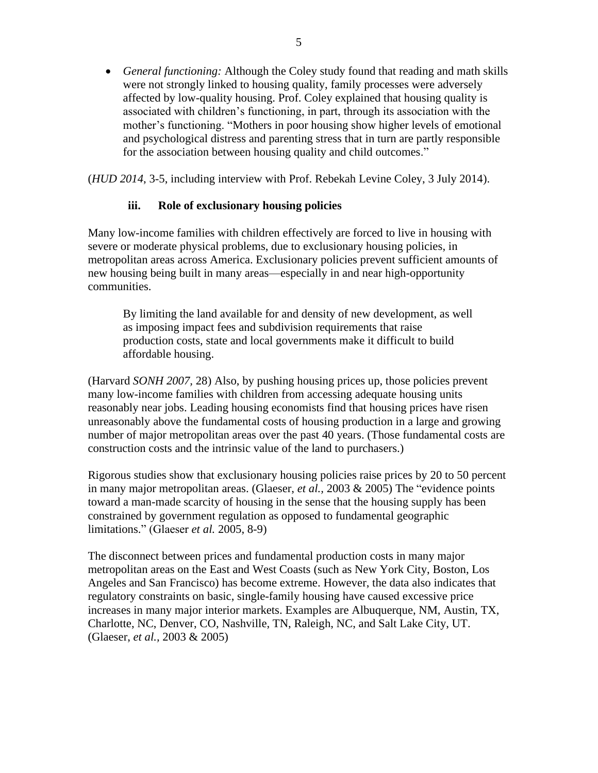• *General functioning:* Although the Coley study found that reading and math skills were not strongly linked to housing quality, family processes were adversely affected by low-quality housing. Prof. Coley explained that housing quality is associated with children's functioning, in part, through its association with the mother's functioning. "Mothers in poor housing show higher levels of emotional and psychological distress and parenting stress that in turn are partly responsible for the association between housing quality and child outcomes."

(*HUD 2014*, 3-5, including interview with Prof. Rebekah Levine Coley, 3 July 2014).

#### **iii. Role of exclusionary housing policies**

Many low-income families with children effectively are forced to live in housing with severe or moderate physical problems, due to exclusionary housing policies, in metropolitan areas across America. Exclusionary policies prevent sufficient amounts of new housing being built in many areas—especially in and near high-opportunity communities.

By limiting the land available for and density of new development, as well as imposing impact fees and subdivision requirements that raise production costs, state and local governments make it difficult to build affordable housing.

(Harvard *SONH 2007,* 28) Also, by pushing housing prices up, those policies prevent many low-income families with children from accessing adequate housing units reasonably near jobs. Leading housing economists find that housing prices have risen unreasonably above the fundamental costs of housing production in a large and growing number of major metropolitan areas over the past 40 years. (Those fundamental costs are construction costs and the intrinsic value of the land to purchasers.)

Rigorous studies show that exclusionary housing policies raise prices by 20 to 50 percent in many major metropolitan areas. (Glaeser, *et al.,* 2003 & 2005) The "evidence points toward a man-made scarcity of housing in the sense that the housing supply has been constrained by government regulation as opposed to fundamental geographic limitations." (Glaeser *et al.* 2005, 8-9)

The disconnect between prices and fundamental production costs in many major metropolitan areas on the East and West Coasts (such as New York City, Boston, Los Angeles and San Francisco) has become extreme. However, the data also indicates that regulatory constraints on basic, single-family housing have caused excessive price increases in many major interior markets. Examples are Albuquerque, NM, Austin, TX, Charlotte, NC, Denver, CO, Nashville, TN, Raleigh, NC, and Salt Lake City, UT. (Glaeser, *et al.,* 2003 & 2005)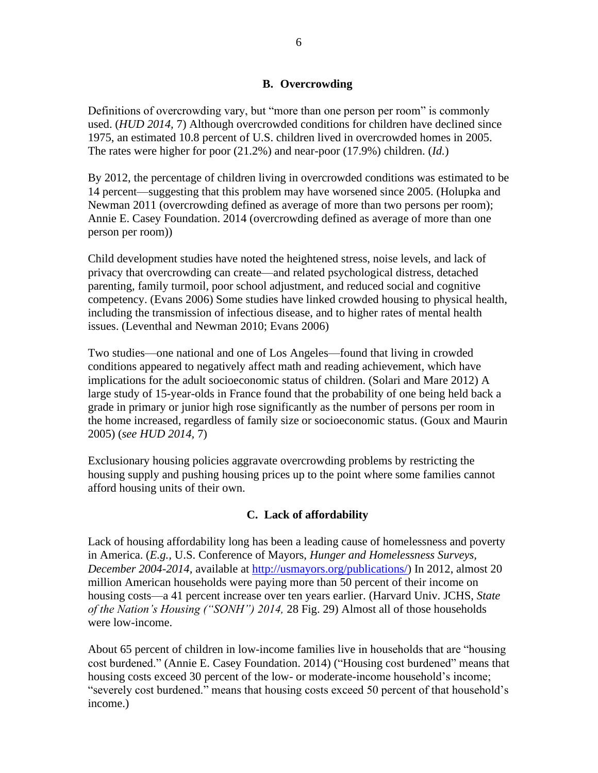#### **B. Overcrowding**

Definitions of overcrowding vary, but "more than one person per room" is commonly used. (*HUD 2014,* 7) Although overcrowded conditions for children have declined since 1975, an estimated 10.8 percent of U.S. children lived in overcrowded homes in 2005. The rates were higher for poor (21.2%) and near-poor (17.9%) children. (*Id.*)

By 2012, the percentage of children living in overcrowded conditions was estimated to be 14 percent—suggesting that this problem may have worsened since 2005. (Holupka and Newman 2011 (overcrowding defined as average of more than two persons per room); Annie E. Casey Foundation. 2014 (overcrowding defined as average of more than one person per room))

Child development studies have noted the heightened stress, noise levels, and lack of privacy that overcrowding can create—and related psychological distress, detached parenting, family turmoil, poor school adjustment, and reduced social and cognitive competency. (Evans 2006) Some studies have linked crowded housing to physical health, including the transmission of infectious disease, and to higher rates of mental health issues. (Leventhal and Newman 2010; Evans 2006)

Two studies—one national and one of Los Angeles—found that living in crowded conditions appeared to negatively affect math and reading achievement, which have implications for the adult socioeconomic status of children. (Solari and Mare 2012) A large study of 15-year-olds in France found that the probability of one being held back a grade in primary or junior high rose significantly as the number of persons per room in the home increased, regardless of family size or socioeconomic status. (Goux and Maurin 2005) (*see HUD 2014,* 7)

Exclusionary housing policies aggravate overcrowding problems by restricting the housing supply and pushing housing prices up to the point where some families cannot afford housing units of their own.

### **C. Lack of affordability**

Lack of housing affordability long has been a leading cause of homelessness and poverty in America. (*E.g.,* U.S. Conference of Mayors, *Hunger and Homelessness Surveys, December 2004-2014,* available at [http://usmayors.org/publications/\)](http://usmayors.org/publications/) In 2012, almost 20 million American households were paying more than 50 percent of their income on housing costs—a 41 percent increase over ten years earlier. (Harvard Univ. JCHS, *State of the Nation's Housing ("SONH") 2014,* 28 Fig. 29) Almost all of those households were low-income.

About 65 percent of children in low-income families live in households that are "housing cost burdened." (Annie E. Casey Foundation. 2014) ("Housing cost burdened" means that housing costs exceed 30 percent of the low- or moderate-income household's income; "severely cost burdened." means that housing costs exceed 50 percent of that household's income.)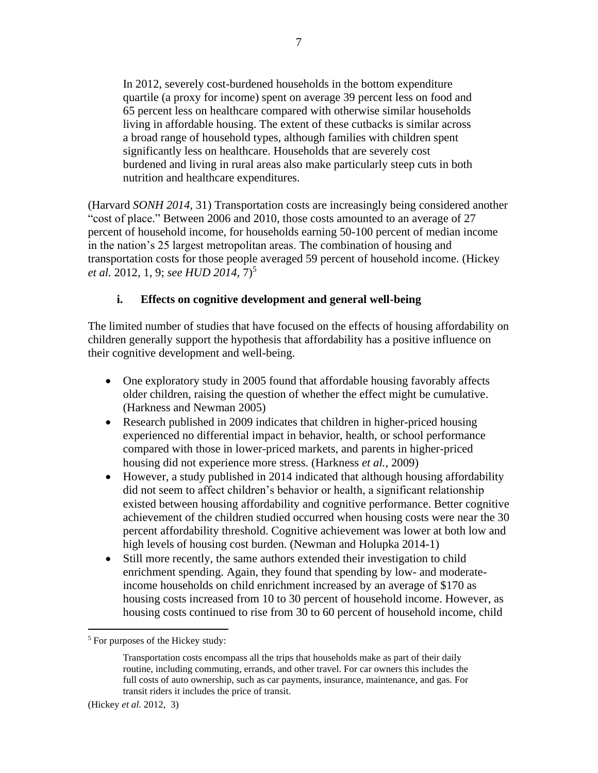In 2012, severely cost-burdened households in the bottom expenditure quartile (a proxy for income) spent on average 39 percent less on food and 65 percent less on healthcare compared with otherwise similar households living in affordable housing. The extent of these cutbacks is similar across a broad range of household types, although families with children spent significantly less on healthcare. Households that are severely cost burdened and living in rural areas also make particularly steep cuts in both nutrition and healthcare expenditures.

(Harvard *SONH 2014,* 31) Transportation costs are increasingly being considered another "cost of place." Between 2006 and 2010, those costs amounted to an average of 27 percent of household income, for households earning 50-100 percent of median income in the nation's 25 largest metropolitan areas. The combination of housing and transportation costs for those people averaged 59 percent of household income. (Hickey *et al.* 2012, 1, 9; *see HUD 2014*,  $7)^5$ 

#### **i. Effects on cognitive development and general well-being**

The limited number of studies that have focused on the effects of housing affordability on children generally support the hypothesis that affordability has a positive influence on their cognitive development and well-being.

- One exploratory study in 2005 found that affordable housing favorably affects older children, raising the question of whether the effect might be cumulative. (Harkness and Newman 2005)
- Research published in 2009 indicates that children in higher-priced housing experienced no differential impact in behavior, health, or school performance compared with those in lower-priced markets, and parents in higher-priced housing did not experience more stress. (Harkness *et al.,* 2009)
- However, a study published in 2014 indicated that although housing affordability did not seem to affect children's behavior or health, a significant relationship existed between housing affordability and cognitive performance. Better cognitive achievement of the children studied occurred when housing costs were near the 30 percent affordability threshold. Cognitive achievement was lower at both low and high levels of housing cost burden. (Newman and Holupka 2014-1)
- Still more recently, the same authors extended their investigation to child enrichment spending. Again, they found that spending by low- and moderateincome households on child enrichment increased by an average of \$170 as housing costs increased from 10 to 30 percent of household income. However, as housing costs continued to rise from 30 to 60 percent of household income, child

 $<sup>5</sup>$  For purposes of the Hickey study:</sup>

Transportation costs encompass all the trips that households make as part of their daily routine, including commuting, errands, and other travel. For car owners this includes the full costs of auto ownership, such as car payments, insurance, maintenance, and gas. For transit riders it includes the price of transit.

<sup>(</sup>Hickey *et al.* 2012, 3)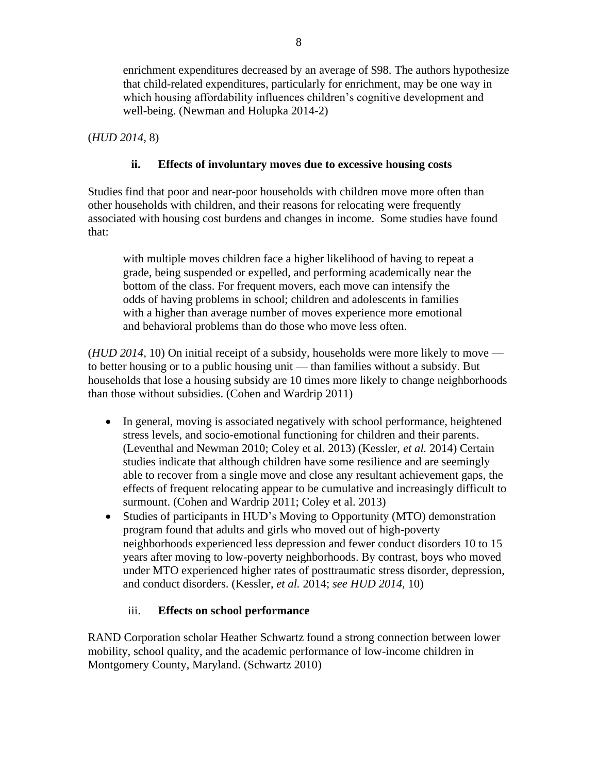enrichment expenditures decreased by an average of \$98. The authors hypothesize that child-related expenditures, particularly for enrichment, may be one way in which housing affordability influences children's cognitive development and well-being. (Newman and Holupka 2014-2)

(*HUD 2014,* 8)

### **ii. Effects of involuntary moves due to excessive housing costs**

Studies find that poor and near-poor households with children move more often than other households with children, and their reasons for relocating were frequently associated with housing cost burdens and changes in income. Some studies have found that:

with multiple moves children face a higher likelihood of having to repeat a grade, being suspended or expelled, and performing academically near the bottom of the class. For frequent movers, each move can intensify the odds of having problems in school; children and adolescents in families with a higher than average number of moves experience more emotional and behavioral problems than do those who move less often.

(*HUD 2014,* 10) On initial receipt of a subsidy, households were more likely to move to better housing or to a public housing unit — than families without a subsidy. But households that lose a housing subsidy are 10 times more likely to change neighborhoods than those without subsidies. (Cohen and Wardrip 2011)

- In general, moving is associated negatively with school performance, heightened stress levels, and socio-emotional functioning for children and their parents. (Leventhal and Newman 2010; Coley et al. 2013) (Kessler, *et al.* 2014) Certain studies indicate that although children have some resilience and are seemingly able to recover from a single move and close any resultant achievement gaps, the effects of frequent relocating appear to be cumulative and increasingly difficult to surmount. (Cohen and Wardrip 2011; Coley et al. 2013)
- Studies of participants in HUD's Moving to Opportunity (MTO) demonstration program found that adults and girls who moved out of high-poverty neighborhoods experienced less depression and fewer conduct disorders 10 to 15 years after moving to low-poverty neighborhoods. By contrast, boys who moved under MTO experienced higher rates of posttraumatic stress disorder, depression, and conduct disorders. (Kessler, *et al.* 2014; *see HUD 2014,* 10)

## iii. **Effects on school performance**

RAND Corporation scholar Heather Schwartz found a strong connection between lower mobility, school quality, and the academic performance of low-income children in Montgomery County, Maryland. (Schwartz 2010)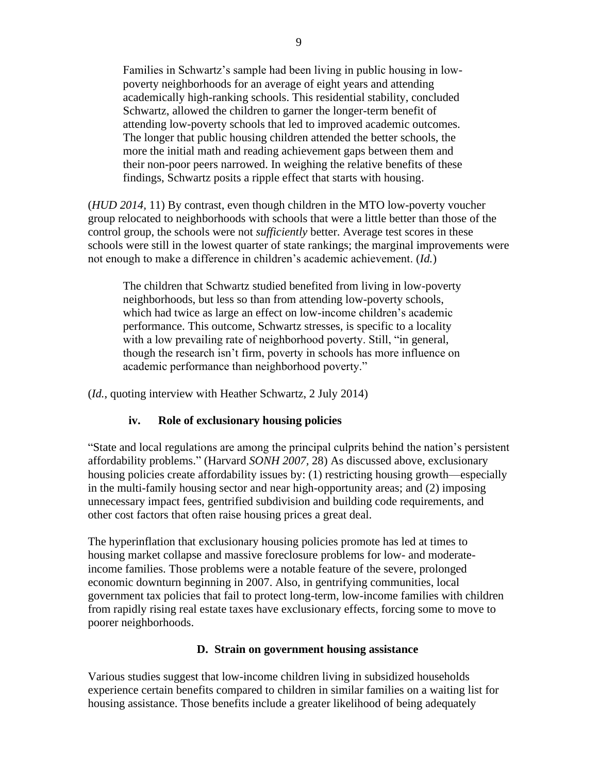Families in Schwartz's sample had been living in public housing in lowpoverty neighborhoods for an average of eight years and attending academically high-ranking schools. This residential stability, concluded Schwartz, allowed the children to garner the longer-term benefit of attending low-poverty schools that led to improved academic outcomes. The longer that public housing children attended the better schools, the more the initial math and reading achievement gaps between them and their non-poor peers narrowed. In weighing the relative benefits of these findings, Schwartz posits a ripple effect that starts with housing.

(*HUD 2014,* 11) By contrast, even though children in the MTO low-poverty voucher group relocated to neighborhoods with schools that were a little better than those of the control group, the schools were not *sufficiently* better. Average test scores in these schools were still in the lowest quarter of state rankings; the marginal improvements were not enough to make a difference in children's academic achievement. (*Id.*)

The children that Schwartz studied benefited from living in low-poverty neighborhoods, but less so than from attending low-poverty schools, which had twice as large an effect on low-income children's academic performance. This outcome, Schwartz stresses, is specific to a locality with a low prevailing rate of neighborhood poverty. Still, "in general, though the research isn't firm, poverty in schools has more influence on academic performance than neighborhood poverty."

(*Id.*, quoting interview with Heather Schwartz, 2 July 2014)

#### **iv. Role of exclusionary housing policies**

"State and local regulations are among the principal culprits behind the nation's persistent affordability problems." (Harvard *SONH 2007,* 28) As discussed above, exclusionary housing policies create affordability issues by: (1) restricting housing growth—especially in the multi-family housing sector and near high-opportunity areas; and (2) imposing unnecessary impact fees, gentrified subdivision and building code requirements, and other cost factors that often raise housing prices a great deal.

The hyperinflation that exclusionary housing policies promote has led at times to housing market collapse and massive foreclosure problems for low- and moderateincome families. Those problems were a notable feature of the severe, prolonged economic downturn beginning in 2007. Also, in gentrifying communities, local government tax policies that fail to protect long-term, low-income families with children from rapidly rising real estate taxes have exclusionary effects, forcing some to move to poorer neighborhoods.

#### **D. Strain on government housing assistance**

Various studies suggest that low-income children living in subsidized households experience certain benefits compared to children in similar families on a waiting list for housing assistance. Those benefits include a greater likelihood of being adequately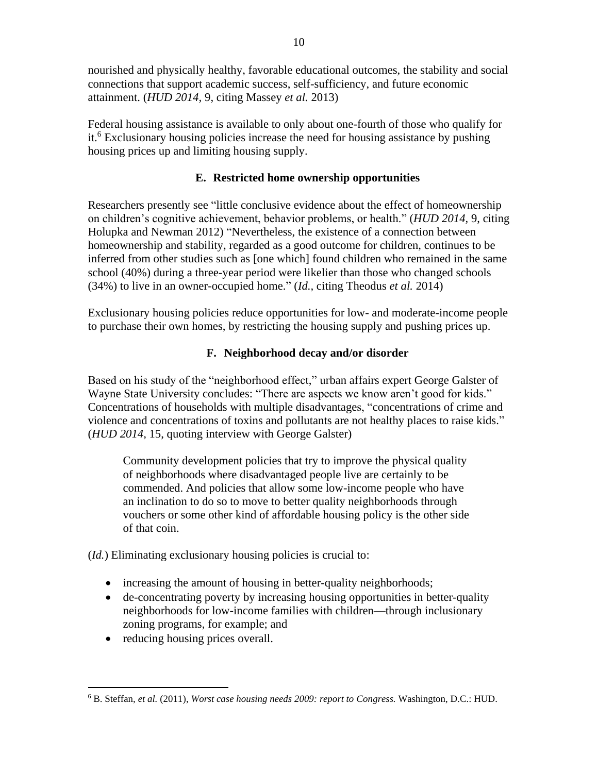nourished and physically healthy, favorable educational outcomes, the stability and social connections that support academic success, self-sufficiency, and future economic attainment. (*HUD 2014,* 9, citing Massey *et al.* 2013)

Federal housing assistance is available to only about one-fourth of those who qualify for it.<sup>6</sup> Exclusionary housing policies increase the need for housing assistance by pushing housing prices up and limiting housing supply.

## **E. Restricted home ownership opportunities**

Researchers presently see "little conclusive evidence about the effect of homeownership on children's cognitive achievement, behavior problems, or health." (*HUD 2014,* 9, citing Holupka and Newman 2012) "Nevertheless, the existence of a connection between homeownership and stability, regarded as a good outcome for children, continues to be inferred from other studies such as [one which] found children who remained in the same school (40%) during a three-year period were likelier than those who changed schools (34%) to live in an owner-occupied home." (*Id.,* citing Theodus *et al.* 2014)

Exclusionary housing policies reduce opportunities for low- and moderate-income people to purchase their own homes, by restricting the housing supply and pushing prices up.

## **F. Neighborhood decay and/or disorder**

Based on his study of the "neighborhood effect," urban affairs expert George Galster of Wayne State University concludes: "There are aspects we know aren't good for kids." Concentrations of households with multiple disadvantages, "concentrations of crime and violence and concentrations of toxins and pollutants are not healthy places to raise kids." (*HUD 2014,* 15, quoting interview with George Galster)

Community development policies that try to improve the physical quality of neighborhoods where disadvantaged people live are certainly to be commended. And policies that allow some low-income people who have an inclination to do so to move to better quality neighborhoods through vouchers or some other kind of affordable housing policy is the other side of that coin.

(*Id.*) Eliminating exclusionary housing policies is crucial to:

- increasing the amount of housing in better-quality neighborhoods;
- de-concentrating poverty by increasing housing opportunities in better-quality neighborhoods for low-income families with children—through inclusionary zoning programs, for example; and
- reducing housing prices overall.

<sup>6</sup> B. Steffan, *et al.* (2011), *Worst case housing needs 2009: report to Congress.* Washington, D.C.: HUD.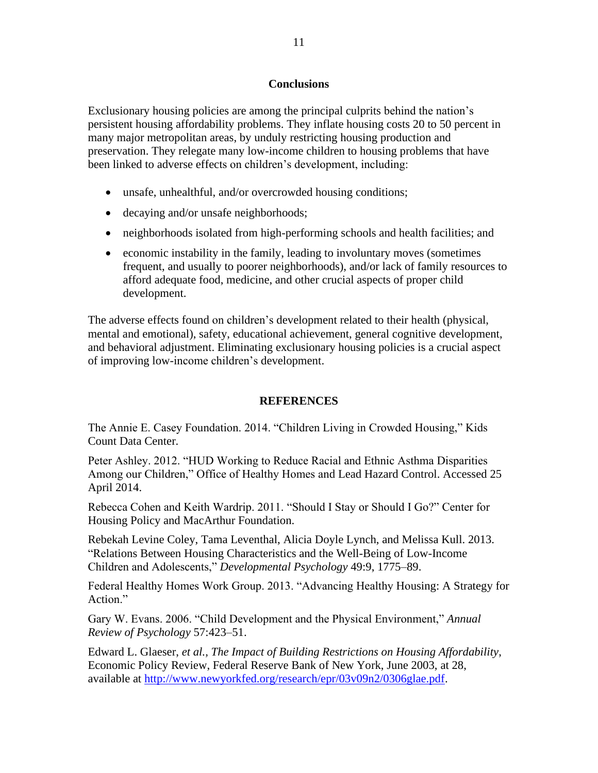#### **Conclusions**

Exclusionary housing policies are among the principal culprits behind the nation's persistent housing affordability problems. They inflate housing costs 20 to 50 percent in many major metropolitan areas, by unduly restricting housing production and preservation. They relegate many low-income children to housing problems that have been linked to adverse effects on children's development, including:

- unsafe, unhealthful, and/or overcrowded housing conditions;
- decaying and/or unsafe neighborhoods;
- neighborhoods isolated from high-performing schools and health facilities; and
- economic instability in the family, leading to involuntary moves (sometimes frequent, and usually to poorer neighborhoods), and/or lack of family resources to afford adequate food, medicine, and other crucial aspects of proper child development.

The adverse effects found on children's development related to their health (physical, mental and emotional), safety, educational achievement, general cognitive development, and behavioral adjustment. Eliminating exclusionary housing policies is a crucial aspect of improving low-income children's development.

#### **REFERENCES**

The Annie E. Casey Foundation. 2014. "Children Living in Crowded Housing," Kids Count Data Center.

Peter Ashley. 2012. "HUD Working to Reduce Racial and Ethnic Asthma Disparities Among our Children," Office of Healthy Homes and Lead Hazard Control. Accessed 25 April 2014.

Rebecca Cohen and Keith Wardrip. 2011. "Should I Stay or Should I Go?" Center for Housing Policy and MacArthur Foundation.

Rebekah Levine Coley, Tama Leventhal, Alicia Doyle Lynch, and Melissa Kull. 2013. "Relations Between Housing Characteristics and the Well-Being of Low-Income Children and Adolescents," *Developmental Psychology* 49:9, 1775–89.

Federal Healthy Homes Work Group. 2013. "Advancing Healthy Housing: A Strategy for Action."

Gary W. Evans. 2006. "Child Development and the Physical Environment," *Annual Review of Psychology* 57:423–51.

Edward L. Glaeser, *et al., The Impact of Building Restrictions on Housing Affordability*, Economic Policy Review, Federal Reserve Bank of New York, June 2003, at 28, available at [http://www.newyorkfed.org/research/epr/03v09n2/0306glae.pdf.](http://www.newyorkfed.org/research/epr/03v09n2/0306glae.pdf)